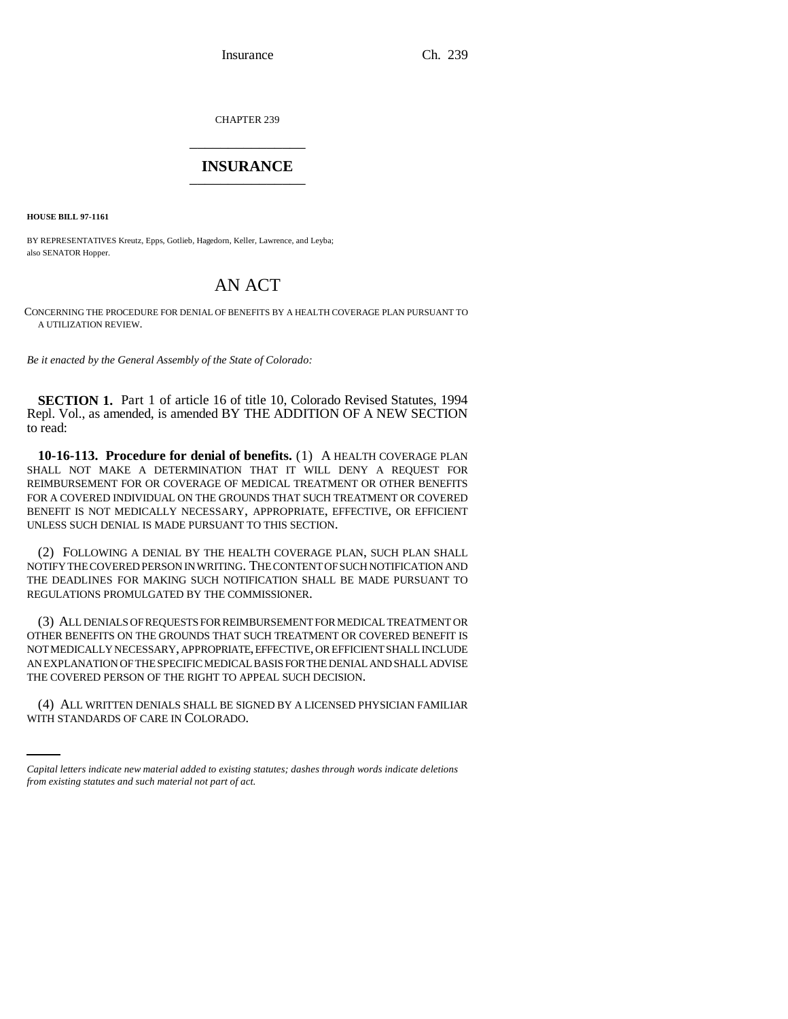Insurance Ch. 239

CHAPTER 239 \_\_\_\_\_\_\_\_\_\_\_\_\_\_\_

## **INSURANCE** \_\_\_\_\_\_\_\_\_\_\_\_\_\_\_

**HOUSE BILL 97-1161**

BY REPRESENTATIVES Kreutz, Epps, Gotlieb, Hagedorn, Keller, Lawrence, and Leyba; also SENATOR Hopper.

## AN ACT

CONCERNING THE PROCEDURE FOR DENIAL OF BENEFITS BY A HEALTH COVERAGE PLAN PURSUANT TO A UTILIZATION REVIEW.

*Be it enacted by the General Assembly of the State of Colorado:*

**SECTION 1.** Part 1 of article 16 of title 10, Colorado Revised Statutes, 1994 Repl. Vol., as amended, is amended BY THE ADDITION OF A NEW SECTION to read:

**10-16-113. Procedure for denial of benefits.** (1) A HEALTH COVERAGE PLAN SHALL NOT MAKE A DETERMINATION THAT IT WILL DENY A REQUEST FOR REIMBURSEMENT FOR OR COVERAGE OF MEDICAL TREATMENT OR OTHER BENEFITS FOR A COVERED INDIVIDUAL ON THE GROUNDS THAT SUCH TREATMENT OR COVERED BENEFIT IS NOT MEDICALLY NECESSARY, APPROPRIATE, EFFECTIVE, OR EFFICIENT UNLESS SUCH DENIAL IS MADE PURSUANT TO THIS SECTION.

(2) FOLLOWING A DENIAL BY THE HEALTH COVERAGE PLAN, SUCH PLAN SHALL NOTIFY THE COVERED PERSON IN WRITING. THE CONTENT OF SUCH NOTIFICATION AND THE DEADLINES FOR MAKING SUCH NOTIFICATION SHALL BE MADE PURSUANT TO REGULATIONS PROMULGATED BY THE COMMISSIONER.

(3) ALL DENIALS OF REQUESTS FOR REIMBURSEMENT FOR MEDICAL TREATMENT OR OTHER BENEFITS ON THE GROUNDS THAT SUCH TREATMENT OR COVERED BENEFIT IS NOT MEDICALLY NECESSARY, APPROPRIATE, EFFECTIVE, OR EFFICIENT SHALL INCLUDE AN EXPLANATION OF THE SPECIFIC MEDICAL BASIS FOR THE DENIAL AND SHALL ADVISE THE COVERED PERSON OF THE RIGHT TO APPEAL SUCH DECISION.

(4) ALL WRITTEN DENIALS SHALL BE SIGNED BY A LICENSED PHYSICIAN FAMILIAR WITH STANDARDS OF CARE IN COLORADO.

*Capital letters indicate new material added to existing statutes; dashes through words indicate deletions from existing statutes and such material not part of act.*